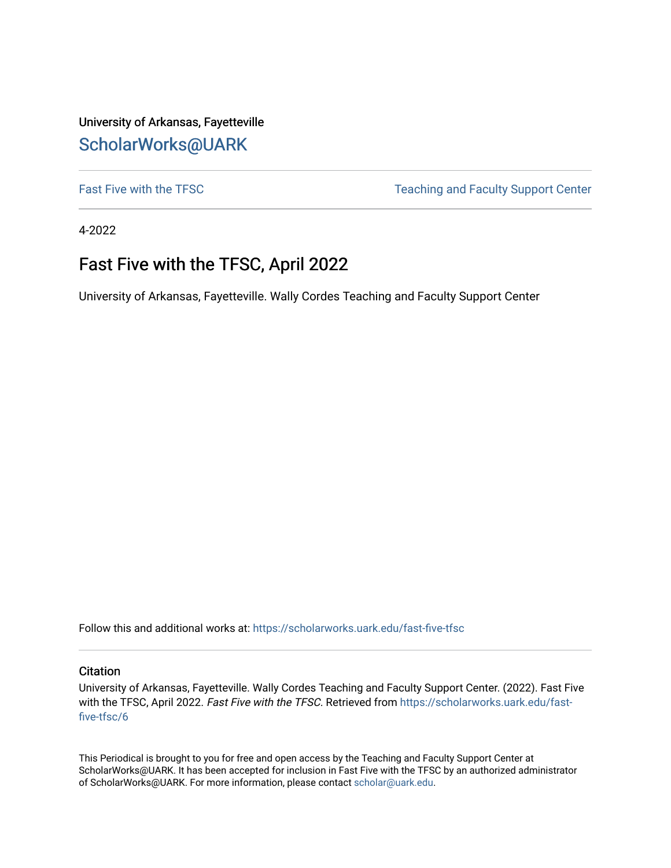University of Arkansas, Fayetteville [ScholarWorks@UARK](https://scholarworks.uark.edu/) 

[Fast Five with the TFSC](https://scholarworks.uark.edu/fast-five-tfsc) Teaching and Faculty Support Center

4-2022

# Fast Five with the TFSC, April 2022

University of Arkansas, Fayetteville. Wally Cordes Teaching and Faculty Support Center

Follow this and additional works at: [https://scholarworks.uark.edu/fast-five-tfsc](https://scholarworks.uark.edu/fast-five-tfsc?utm_source=scholarworks.uark.edu%2Ffast-five-tfsc%2F6&utm_medium=PDF&utm_campaign=PDFCoverPages) 

#### **Citation**

University of Arkansas, Fayetteville. Wally Cordes Teaching and Faculty Support Center. (2022). Fast Five with the TFSC, April 2022. Fast Five with the TFSC. Retrieved from [https://scholarworks.uark.edu/fast](https://scholarworks.uark.edu/fast-five-tfsc/6?utm_source=scholarworks.uark.edu%2Ffast-five-tfsc%2F6&utm_medium=PDF&utm_campaign=PDFCoverPages)[five-tfsc/6](https://scholarworks.uark.edu/fast-five-tfsc/6?utm_source=scholarworks.uark.edu%2Ffast-five-tfsc%2F6&utm_medium=PDF&utm_campaign=PDFCoverPages)

This Periodical is brought to you for free and open access by the Teaching and Faculty Support Center at ScholarWorks@UARK. It has been accepted for inclusion in Fast Five with the TFSC by an authorized administrator of ScholarWorks@UARK. For more information, please contact [scholar@uark.edu.](mailto:scholar@uark.edu)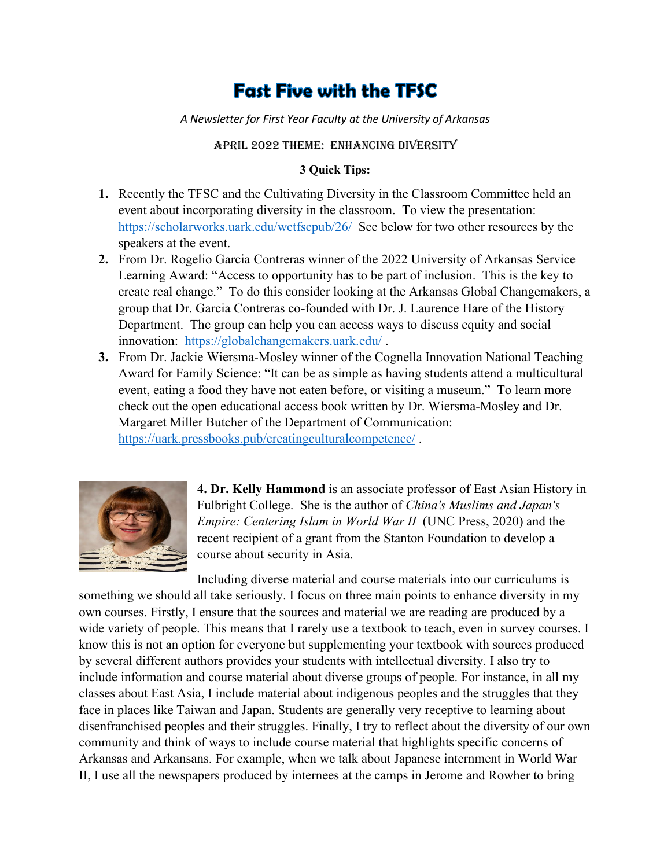# **Fast Five with the TFSC**

*A Newsletter for First Year Faculty at the University of Arkansas*

#### April 2022 Theme: enhancing diversity

#### **3 Quick Tips:**

- **1.** Recently the TFSC and the Cultivating Diversity in the Classroom Committee held an event about incorporating diversity in the classroom. To view the presentation: <https://scholarworks.uark.edu/wctfscpub/26/>See below for two other resources by the speakers at the event.
- **2.** From Dr. Rogelio Garcia Contreras winner of the 2022 University of Arkansas Service Learning Award: "Access to opportunity has to be part of inclusion. This is the key to create real change." To do this consider looking at the Arkansas Global Changemakers, a group that Dr. Garcia Contreras co-founded with Dr. J. Laurence Hare of the History Department. The group can help you can access ways to discuss equity and social innovation: https://globalchangemakers.uark.edu/.
- **3.** From Dr. Jackie Wiersma-Mosley winner of the Cognella Innovation National Teaching Award for Family Science: "It can be as simple as having students attend a multicultural event, eating a food they have not eaten before, or visiting a museum." To learn more check out the open educational access book written by Dr. Wiersma-Mosley and Dr. Margaret Miller Butcher of the Department of Communication: <https://uark.pressbooks.pub/creatingculturalcompetence/>.



**4. Dr. Kelly Hammond** is an associate professor of East Asian History in Fulbright College. She is the author of *China's Muslims and Japan's Empire: Centering Islam in World War II* (UNC Press, 2020) and the recent recipient of a grant from the Stanton Foundation to develop a course about security in Asia.

Including diverse material and course materials into our curriculums is something we should all take seriously. I focus on three main points to enhance diversity in my own courses. Firstly, I ensure that the sources and material we are reading are produced by a wide variety of people. This means that I rarely use a textbook to teach, even in survey courses. I know this is not an option for everyone but supplementing your textbook with sources produced by several different authors provides your students with intellectual diversity. I also try to include information and course material about diverse groups of people. For instance, in all my classes about East Asia, I include material about indigenous peoples and the struggles that they face in places like Taiwan and Japan. Students are generally very receptive to learning about disenfranchised peoples and their struggles. Finally, I try to reflect about the diversity of our own community and think of ways to include course material that highlights specific concerns of Arkansas and Arkansans. For example, when we talk about Japanese internment in World War II, I use all the newspapers produced by internees at the camps in Jerome and Rowher to bring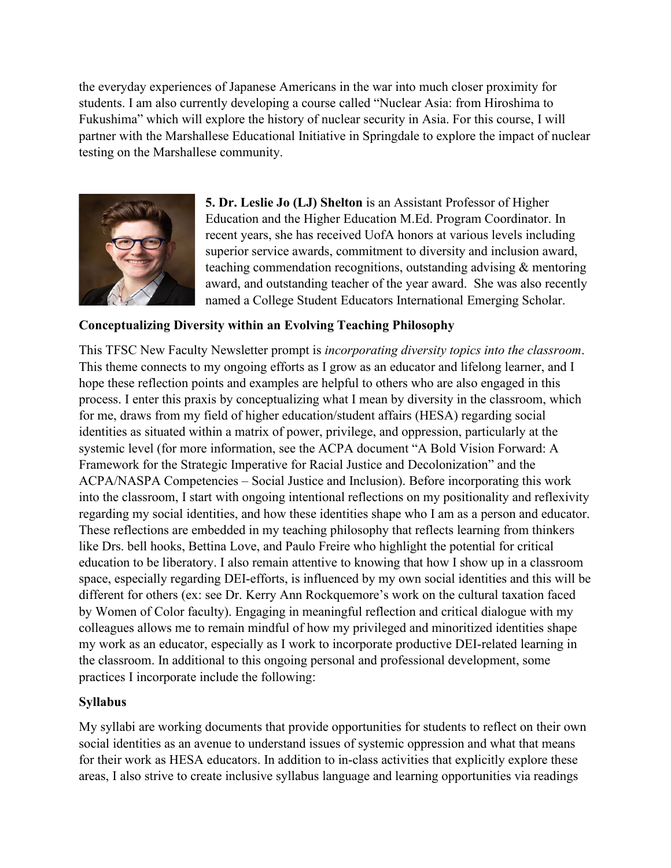the everyday experiences of Japanese Americans in the war into much closer proximity for students. I am also currently developing a course called "Nuclear Asia: from Hiroshima to Fukushima" which will explore the history of nuclear security in Asia. For this course, I will partner with the Marshallese Educational Initiative in Springdale to explore the impact of nuclear testing on the Marshallese community.



**5. Dr. Leslie Jo (LJ) Shelton** is an Assistant Professor of Higher Education and the Higher Education M.Ed. Program Coordinator. In recent years, she has received UofA honors at various levels including superior service awards, commitment to diversity and inclusion award, teaching commendation recognitions, outstanding advising & mentoring award, and outstanding teacher of the year award. She was also recently named a College Student Educators International Emerging Scholar.

# **Conceptualizing Diversity within an Evolving Teaching Philosophy**

This TFSC New Faculty Newsletter prompt is *incorporating diversity topics into the classroom*. This theme connects to my ongoing efforts as I grow as an educator and lifelong learner, and I hope these reflection points and examples are helpful to others who are also engaged in this process. I enter this praxis by conceptualizing what I mean by diversity in the classroom, which for me, draws from my field of higher education/student affairs (HESA) regarding social identities as situated within a matrix of power, privilege, and oppression, particularly at the systemic level (for more information, see the ACPA document "A Bold Vision Forward: A Framework for the Strategic Imperative for Racial Justice and Decolonization" and the ACPA/NASPA Competencies – Social Justice and Inclusion). Before incorporating this work into the classroom, I start with ongoing intentional reflections on my positionality and reflexivity regarding my social identities, and how these identities shape who I am as a person and educator. These reflections are embedded in my teaching philosophy that reflects learning from thinkers like Drs. bell hooks, Bettina Love, and Paulo Freire who highlight the potential for critical education to be liberatory. I also remain attentive to knowing that how I show up in a classroom space, especially regarding DEI-efforts, is influenced by my own social identities and this will be different for others (ex: see Dr. Kerry Ann Rockquemore's work on the cultural taxation faced by Women of Color faculty). Engaging in meaningful reflection and critical dialogue with my colleagues allows me to remain mindful of how my privileged and minoritized identities shape my work as an educator, especially as I work to incorporate productive DEI-related learning in the classroom. In additional to this ongoing personal and professional development, some practices I incorporate include the following:

# **Syllabus**

My syllabi are working documents that provide opportunities for students to reflect on their own social identities as an avenue to understand issues of systemic oppression and what that means for their work as HESA educators. In addition to in-class activities that explicitly explore these areas, I also strive to create inclusive syllabus language and learning opportunities via readings